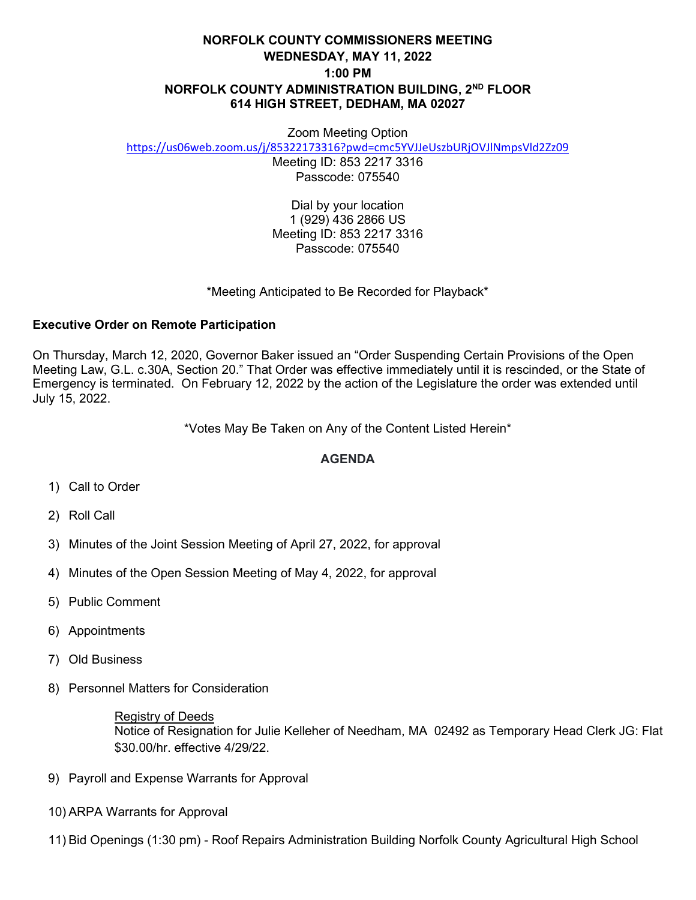# **NORFOLK COUNTY COMMISSIONERS MEETING WEDNESDAY, MAY 11, 2022 1:00 PM NORFOLK COUNTY ADMINISTRATION BUILDING, 2ND FLOOR 614 HIGH STREET, DEDHAM, MA 02027**

#### Zoom Meeting Option

<https://us06web.zoom.us/j/85322173316?pwd=cmc5YVJJeUszbURjOVJlNmpsVld2Zz09>

Meeting ID: 853 2217 3316 Passcode: 075540

Dial by your location 1 (929) 436 2866 US Meeting ID: 853 2217 3316 Passcode: 075540

\*Meeting Anticipated to Be Recorded for Playback\*

#### **Executive Order on Remote Participation**

On Thursday, March 12, 2020, Governor Baker issued an "Order Suspending Certain Provisions of the Open Meeting Law, G.L. c.30A, Section 20." That Order was effective immediately until it is rescinded, or the State of Emergency is terminated. On February 12, 2022 by the action of the Legislature the order was extended until July 15, 2022.

\*Votes May Be Taken on Any of the Content Listed Herein\*

## **AGENDA**

- 1) Call to Order
- 2) Roll Call
- 3) Minutes of the Joint Session Meeting of April 27, 2022, for approval
- 4) Minutes of the Open Session Meeting of May 4, 2022, for approval
- 5) Public Comment
- 6) Appointments
- 7) Old Business
- 8) Personnel Matters for Consideration

#### Registry of Deeds

Notice of Resignation for Julie Kelleher of Needham, MA 02492 as Temporary Head Clerk JG: Flat \$30.00/hr. effective 4/29/22.

- 9) Payroll and Expense Warrants for Approval
- 10) ARPA Warrants for Approval
- 11) Bid Openings (1:30 pm) Roof Repairs Administration Building Norfolk County Agricultural High School